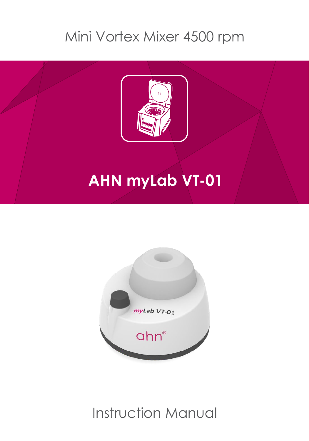### Mini Vortex Mixer 4500 rpm



## **AHN myLab VT-01**



Instruction Manual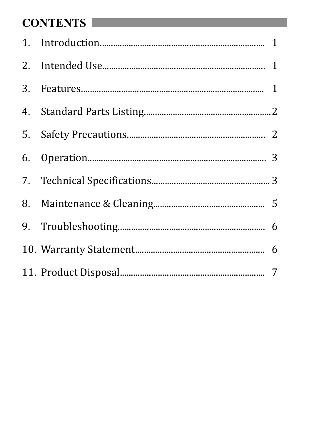#### **CONTENTS**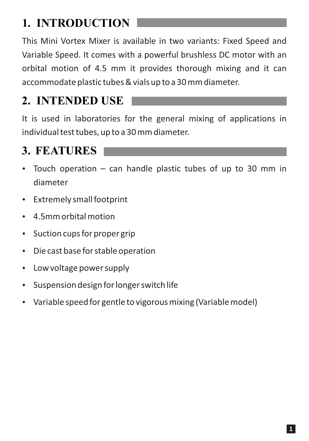#### **1. INTRODUCTION**

This Mini Vortex Mixer is available in two variants: Fixed Speed and Variable Speed. It comes with a powerful brushless DC motor with an orbital motion of 4.5 mm it provides thorough mixing and it can accommodate plastic tubes & vials up to a 30 mm diameter.

#### **2. INTENDED USE**

It is used in laboratories for the general mixing of applications in individual test tubes, up to a 30 mm diameter.

#### **3. FEATURES**

- Touch operation can handle plastic tubes of up to 30 mm in diameter
- Extremely small footprint
- $\cdot$  4.5mm orbital motion
- Suction cups for proper grip
- Die cast base for stable operation
- Low voltage power supply
- Suspension design for longer switch life
- Variable speed for gentle to vigorous mixing (Variable model)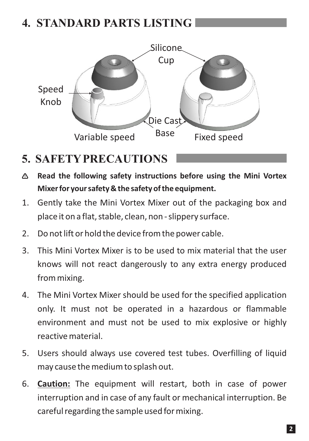#### **4. STANDARD PARTS LISTING**



#### **5. SAFETYPRECAUTIONS**

- **Read the following safety instructions before using the Mini Vortex Mixer for your safety & the safety of the equipment.**
- 1. Gently take the Mini Vortex Mixer out of the packaging box and place it on a flat, stable, clean, non - slippery surface.
- 2. Do not lift or hold the device from the power cable.
- 3. This Mini Vortex Mixer is to be used to mix material that the user knows will not react dangerously to any extra energy produced from mixing.
- 4. The Mini Vortex Mixer should be used for the specified application only. It must not be operated in a hazardous or flammable environment and must not be used to mix explosive or highly reactive material.
- 5. Users should always use covered test tubes. Overfilling of liquid may cause the medium to splash out.
- 6. **Caution:** The equipment will restart, both in case of power interruption and in case of any fault or mechanical interruption. Be careful regarding the sample used for mixing.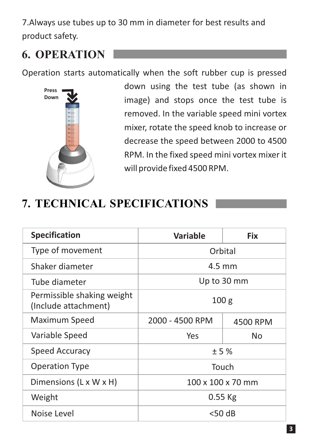7. Always use tubes up to 30 mm in diameter for best results and product safety.

#### **6. OPERATION**

Operation starts automatically when the soft rubber cup is pressed



down using the test tube (as shown in image) and stops once the test tube is removed. In the variable speed mini vortex mixer, rotate the speed knob to increase or decrease the speed between 2000 to 4500 RPM. In the fixed speed mini vortex mixer it will provide fixed 4500 RPM.

#### **7. TECHNICAL SPECIFICATIONS**

| <b>Specification</b>                               | Variable          | <b>Fix</b> |  |
|----------------------------------------------------|-------------------|------------|--|
| Type of movement                                   | Orbital           |            |  |
| Shaker diameter                                    | $4.5 \text{ mm}$  |            |  |
| Tube diameter                                      | Up to 30 mm       |            |  |
| Permissible shaking weight<br>(Include attachment) | 100 <sub>g</sub>  |            |  |
| Maximum Speed                                      | 2000 - 4500 RPM   | 4500 RPM   |  |
| Variable Speed                                     | Yes               | No         |  |
| <b>Speed Accuracy</b>                              | ±5%               |            |  |
| <b>Operation Type</b>                              | Touch             |            |  |
| Dimensions (L x W x H)                             | 100 x 100 x 70 mm |            |  |
| Weight                                             | $0.55$ Kg         |            |  |
| Noise Level                                        | $<$ 50 dB         |            |  |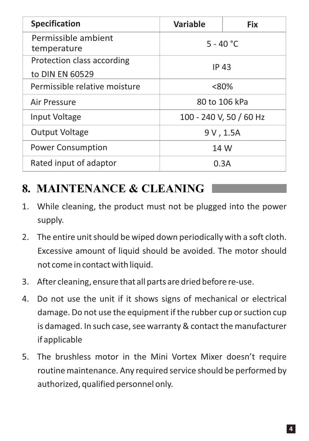| <b>Specification</b>                          | <b>Variable</b>         | <b>Fix</b>    |
|-----------------------------------------------|-------------------------|---------------|
| Permissible ambient<br>temperature            | $5 - 40 °C$             |               |
| Protection class according<br>to DIN EN 60529 | IP 43                   |               |
| Permissible relative moisture                 | $<80\%$                 |               |
| Air Pressure                                  |                         | 80 to 106 kPa |
| Input Voltage                                 | 100 - 240 V, 50 / 60 Hz |               |
| Output Voltage                                | 9V, 1.5A                |               |
| <b>Power Consumption</b>                      | 14 W                    |               |
| Rated input of adaptor                        | 0.3A                    |               |

#### **8. MAINTENANCE & CLEANING**

- 1. While cleaning, the product must not be plugged into the power supply.
- 2. The entire unit should be wiped down periodically with a soft cloth. Excessive amount of liquid should be avoided. The motor should not come in contact with liquid.
- 3. After cleaning, ensure that all parts are dried before re-use.
- 4. Do not use the unit if it shows signs of mechanical or electrical damage. Do not use the equipment if the rubber cup or suction cup is damaged. In such case, see warranty & contact the manufacturer if applicable
- 5. The brushless motor in the Mini Vortex Mixer doesn't require routine maintenance. Any required service should be performed by authorized, qualified personnel only.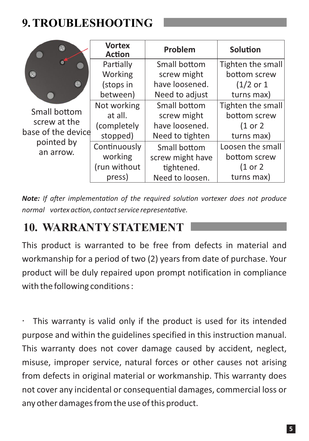#### **9. TROUBLESHOOTING**



Small bottom screw at the base of the devipointed by an arrow.

|    | <b>Vortex</b><br><b>Action</b> | Problem          | Solution              |
|----|--------------------------------|------------------|-----------------------|
|    | Partially                      | Small bottom     | Tighten the small     |
|    | Working                        | screw might      | bottom screw          |
|    | (stops in                      | have loosened.   | $(1/2 \text{ or } 1)$ |
|    | between)                       | Need to adjust   | turns max)            |
|    | Not working                    | Small bottom     | Tighten the small     |
| ce | at all.                        | screw might      | bottom screw          |
|    | (completely                    | have loosened.   | (1 or 2)              |
|    | stopped)                       | Need to tighten  | turns max)            |
|    | Continuously                   | Small bottom     | Loosen the small      |
|    | working                        | screw might have | bottom screw          |
|    | (run without                   | tightened.       | (1 or 2               |
|    | press)                         | Need to loosen.  | turns max)            |

**Note:** If after implementation of the required solution vortexer does not produce *normal* vortex action, contact service representative.

#### **10. WARRANTYSTATEMENT**

This product is warranted to be free from defects in material and workmanship for a period of two (2) years from date of purchase. Your product will be duly repaired upon prompt notification in compliance with the following conditions :

This warranty is valid only if the product is used for its intended ä, purpose and within the guidelines specified in this instruction manual. This warranty does not cover damage caused by accident, neglect, misuse, improper service, natural forces or other causes not arising from defects in original material or workmanship. This warranty does not cover any incidental or consequential damages, commercial loss or any other damages from the use of this product.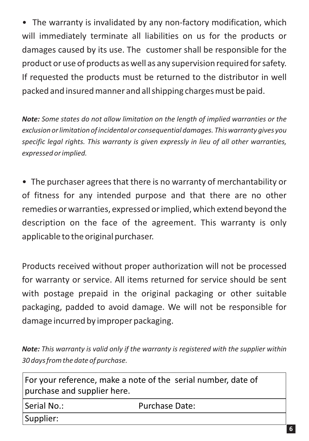• The warranty is invalidated by any non-factory modification, which will immediately terminate all liabilities on us for the products or damages caused by its use. The customer shall be responsible for the product or use of products as well as any supervision required for safety. If requested the products must be returned to the distributor in well packed and insured manner and all shipping charges must be paid.

*Note: Some states do not allow limitation on the length of implied warranties or the exclusion or limitation of incidental or consequential damages. This warranty gives you specific legal rights. This warranty is given expressly in lieu of all other warranties, expressed or implied.*

• The purchaser agrees that there is no warranty of merchantability or of fitness for any intended purpose and that there are no other remedies or warranties, expressed or implied, which extend beyond the description on the face of the agreement. This warranty is only applicable to the original purchaser.

Products received without proper authorization will not be processed for warranty or service. All items returned for service should be sent with postage prepaid in the original packaging or other suitable packaging, padded to avoid damage. We will not be responsible for damage incurred by improper packaging.

*Note: This warranty is valid only if the warranty is registered with the supplier within 30 days from the date of purchase.*

| For your reference, make a note of the serial number, date of<br>purchase and supplier here. |                |  |  |  |
|----------------------------------------------------------------------------------------------|----------------|--|--|--|
| Serial No.:                                                                                  | Purchase Date: |  |  |  |
| Supplier:                                                                                    |                |  |  |  |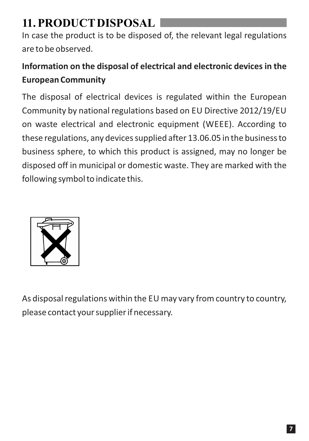#### **11. PRODUCTDISPOSAL**

In case the product is to be disposed of, the relevant legal regulations are to be observed.

#### **Information on the disposal of electrical and electronic devices in the European Community**

The disposal of electrical devices is regulated within the European Community by national regulations based on EU Directive 2012/19/EU on waste electrical and electronic equipment (WEEE). According to these regulations, any devices supplied after 13.06.05 in the business to business sphere, to which this product is assigned, may no longer be disposed off in municipal or domestic waste. They are marked with the following symbol to indicate this.



As disposal regulations within the EU may vary from country to country, please contact your supplier if necessary.